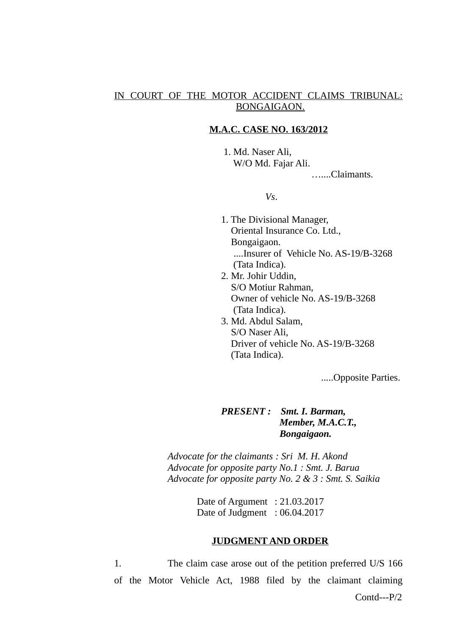# IN COURT OF THE MOTOR ACCIDENT CLAIMS TRIBUNAL: BONGAIGAON.

#### **M.A.C. CASE NO. 163/2012**

 1. Md. Naser Ali, W/O Md. Fajar Ali. …....Claimants.

*Vs*.

- 1. The Divisional Manager, Oriental Insurance Co. Ltd., Bongaigaon. ....Insurer of Vehicle No. AS-19/B-3268 (Tata Indica).
- 2. Mr. Johir Uddin, S/O Motiur Rahman, Owner of vehicle No. AS-19/B-3268 (Tata Indica).
- 3. Md. Abdul Salam, S/O Naser Ali, Driver of vehicle No. AS-19/B-3268 (Tata Indica).

.....Opposite Parties.

# *PRESENT : Smt. I. Barman, Member, M.A.C.T., Bongaigaon.*

*Advocate for the claimants : Sri M. H. Akond Advocate for opposite party No.1 : Smt. J. Barua Advocate for opposite party No. 2 & 3 : Smt. S. Saikia*

> Date of Argument : 21.03.2017 Date of Judgment : 06.04.2017

#### **JUDGMENT AND ORDER**

1. The claim case arose out of the petition preferred U/S 166 of the Motor Vehicle Act, 1988 filed by the claimant claiming Contd---P/2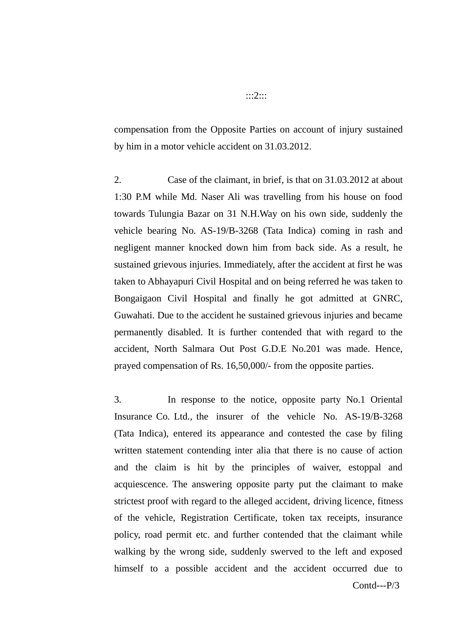compensation from the Opposite Parties on account of injury sustained by him in a motor vehicle accident on 31.03.2012.

2. Case of the claimant, in brief, is that on 31.03.2012 at about 1:30 P.M while Md. Naser Ali was travelling from his house on food towards Tulungia Bazar on 31 N.H.Way on his own side, suddenly the vehicle bearing No. AS-19/B-3268 (Tata Indica) coming in rash and negligent manner knocked down him from back side. As a result, he sustained grievous injuries. Immediately, after the accident at first he was taken to Abhayapuri Civil Hospital and on being referred he was taken to Bongaigaon Civil Hospital and finally he got admitted at GNRC, Guwahati. Due to the accident he sustained grievous injuries and became permanently disabled. It is further contended that with regard to the accident, North Salmara Out Post G.D.E No.201 was made. Hence, prayed compensation of Rs. 16,50,000/- from the opposite parties.

3. In response to the notice, opposite party No.1 Oriental Insurance Co. Ltd., the insurer of the vehicle No. AS-19/B-3268 (Tata Indica), entered its appearance and contested the case by filing written statement contending inter alia that there is no cause of action and the claim is hit by the principles of waiver, estoppal and acquiescence. The answering opposite party put the claimant to make strictest proof with regard to the alleged accident, driving licence, fitness of the vehicle, Registration Certificate, token tax receipts, insurance policy, road permit etc. and further contended that the claimant while walking by the wrong side, suddenly swerved to the left and exposed himself to a possible accident and the accident occurred due to

Contd---P/3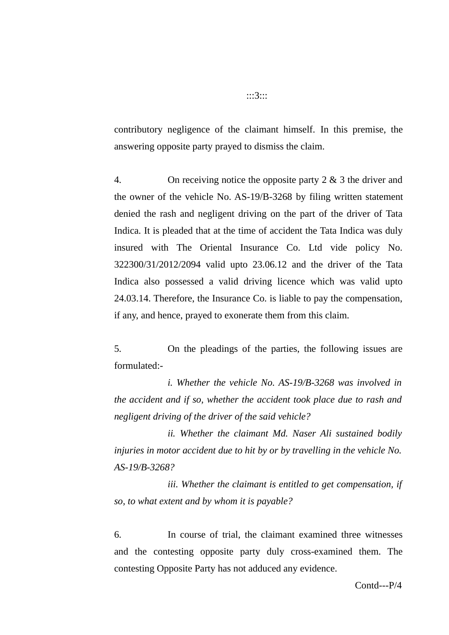contributory negligence of the claimant himself. In this premise, the answering opposite party prayed to dismiss the claim.

4. On receiving notice the opposite party 2 & 3 the driver and the owner of the vehicle No. AS-19/B-3268 by filing written statement denied the rash and negligent driving on the part of the driver of Tata Indica. It is pleaded that at the time of accident the Tata Indica was duly insured with The Oriental Insurance Co. Ltd vide policy No. 322300/31/2012/2094 valid upto 23.06.12 and the driver of the Tata Indica also possessed a valid driving licence which was valid upto 24.03.14. Therefore, the Insurance Co. is liable to pay the compensation, if any, and hence, prayed to exonerate them from this claim.

5. On the pleadings of the parties, the following issues are formulated:-

*i. Whether the vehicle No. AS-19/B-3268 was involved in the accident and if so, whether the accident took place due to rash and negligent driving of the driver of the said vehicle?*

*ii. Whether the claimant Md. Naser Ali sustained bodily injuries in motor accident due to hit by or by travelling in the vehicle No. AS-19/B-3268?*

*iii. Whether the claimant is entitled to get compensation, if so, to what extent and by whom it is payable?*

6. In course of trial, the claimant examined three witnesses and the contesting opposite party duly cross-examined them. The contesting Opposite Party has not adduced any evidence.

:::3:::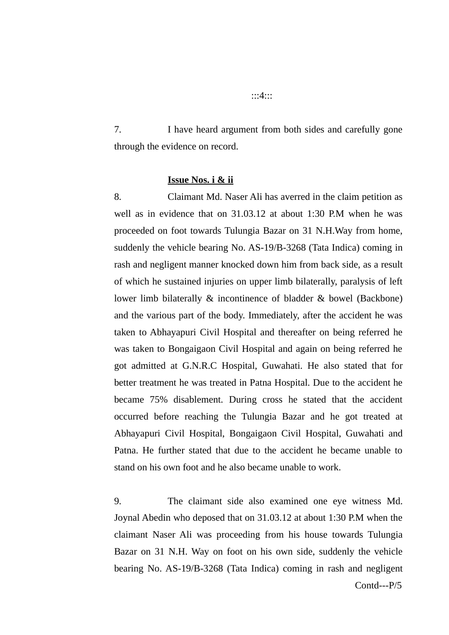7. I have heard argument from both sides and carefully gone

**Issue Nos. i & ii**

through the evidence on record.

8. Claimant Md. Naser Ali has averred in the claim petition as well as in evidence that on 31.03.12 at about 1:30 P.M when he was proceeded on foot towards Tulungia Bazar on 31 N.H.Way from home, suddenly the vehicle bearing No. AS-19/B-3268 (Tata Indica) coming in rash and negligent manner knocked down him from back side, as a result of which he sustained injuries on upper limb bilaterally, paralysis of left lower limb bilaterally & incontinence of bladder & bowel (Backbone) and the various part of the body. Immediately, after the accident he was taken to Abhayapuri Civil Hospital and thereafter on being referred he was taken to Bongaigaon Civil Hospital and again on being referred he got admitted at G.N.R.C Hospital, Guwahati. He also stated that for better treatment he was treated in Patna Hospital. Due to the accident he became 75% disablement. During cross he stated that the accident occurred before reaching the Tulungia Bazar and he got treated at Abhayapuri Civil Hospital, Bongaigaon Civil Hospital, Guwahati and Patna. He further stated that due to the accident he became unable to stand on his own foot and he also became unable to work.

9. The claimant side also examined one eye witness Md. Joynal Abedin who deposed that on 31.03.12 at about 1:30 P.M when the claimant Naser Ali was proceeding from his house towards Tulungia Bazar on 31 N.H. Way on foot on his own side, suddenly the vehicle bearing No. AS-19/B-3268 (Tata Indica) coming in rash and negligent

Contd---P/5

:::4:::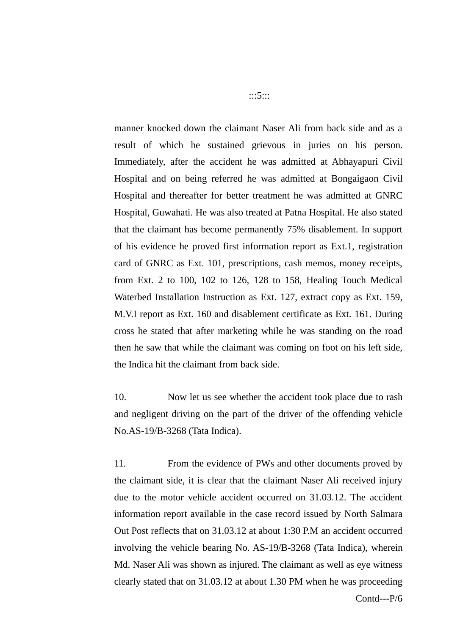manner knocked down the claimant Naser Ali from back side and as a result of which he sustained grievous in juries on his person. Immediately, after the accident he was admitted at Abhayapuri Civil Hospital and on being referred he was admitted at Bongaigaon Civil Hospital and thereafter for better treatment he was admitted at GNRC Hospital, Guwahati. He was also treated at Patna Hospital. He also stated that the claimant has become permanently 75% disablement. In support of his evidence he proved first information report as Ext.1, registration card of GNRC as Ext. 101, prescriptions, cash memos, money receipts, from Ext. 2 to 100, 102 to 126, 128 to 158, Healing Touch Medical Waterbed Installation Instruction as Ext. 127, extract copy as Ext. 159, M.V.I report as Ext. 160 and disablement certificate as Ext. 161. During cross he stated that after marketing while he was standing on the road then he saw that while the claimant was coming on foot on his left side, the Indica hit the claimant from back side.

10. Now let us see whether the accident took place due to rash and negligent driving on the part of the driver of the offending vehicle No.AS-19/B-3268 (Tata Indica).

11. From the evidence of PWs and other documents proved by the claimant side, it is clear that the claimant Naser Ali received injury due to the motor vehicle accident occurred on 31.03.12. The accident information report available in the case record issued by North Salmara Out Post reflects that on 31.03.12 at about 1:30 P.M an accident occurred involving the vehicle bearing No. AS-19/B-3268 (Tata Indica), wherein Md. Naser Ali was shown as injured. The claimant as well as eye witness clearly stated that on 31.03.12 at about 1.30 PM when he was proceeding

:::5:::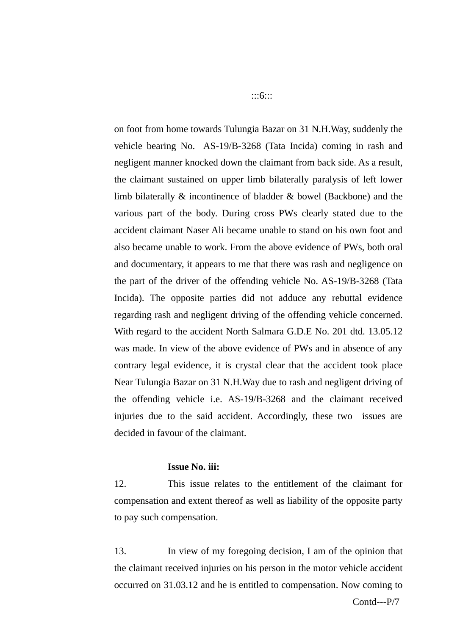on foot from home towards Tulungia Bazar on 31 N.H.Way, suddenly the vehicle bearing No. AS-19/B-3268 (Tata Incida) coming in rash and negligent manner knocked down the claimant from back side. As a result, the claimant sustained on upper limb bilaterally paralysis of left lower limb bilaterally & incontinence of bladder & bowel (Backbone) and the various part of the body. During cross PWs clearly stated due to the accident claimant Naser Ali became unable to stand on his own foot and also became unable to work. From the above evidence of PWs, both oral and documentary, it appears to me that there was rash and negligence on the part of the driver of the offending vehicle No. AS-19/B-3268 (Tata Incida). The opposite parties did not adduce any rebuttal evidence regarding rash and negligent driving of the offending vehicle concerned. With regard to the accident North Salmara G.D.E No. 201 dtd. 13.05.12 was made. In view of the above evidence of PWs and in absence of any contrary legal evidence, it is crystal clear that the accident took place Near Tulungia Bazar on 31 N.H.Way due to rash and negligent driving of the offending vehicle i.e. AS-19/B-3268 and the claimant received injuries due to the said accident. Accordingly, these two issues are decided in favour of the claimant.

# **Issue No. iii:**

12. This issue relates to the entitlement of the claimant for compensation and extent thereof as well as liability of the opposite party to pay such compensation.

13. In view of my foregoing decision, I am of the opinion that the claimant received injuries on his person in the motor vehicle accident occurred on 31.03.12 and he is entitled to compensation. Now coming to

Contd---P/7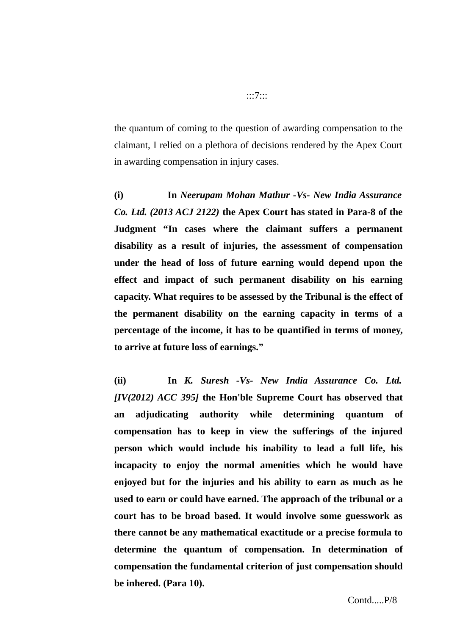the quantum of coming to the question of awarding compensation to the claimant, I relied on a plethora of decisions rendered by the Apex Court in awarding compensation in injury cases.

**(i) In** *Neerupam Mohan Mathur -Vs- New India Assurance Co. Ltd. (2013 ACJ 2122)* **the Apex Court has stated in Para-8 of the Judgment "In cases where the claimant suffers a permanent disability as a result of injuries, the assessment of compensation under the head of loss of future earning would depend upon the effect and impact of such permanent disability on his earning capacity. What requires to be assessed by the Tribunal is the effect of the permanent disability on the earning capacity in terms of a percentage of the income, it has to be quantified in terms of money, to arrive at future loss of earnings."**

**(ii) In** *K. Suresh -Vs- New India Assurance Co. Ltd. [IV(2012) ACC 395]* **the Hon'ble Supreme Court has observed that an adjudicating authority while determining quantum of compensation has to keep in view the sufferings of the injured person which would include his inability to lead a full life, his incapacity to enjoy the normal amenities which he would have enjoyed but for the injuries and his ability to earn as much as he used to earn or could have earned. The approach of the tribunal or a court has to be broad based. It would involve some guesswork as there cannot be any mathematical exactitude or a precise formula to determine the quantum of compensation. In determination of compensation the fundamental criterion of just compensation should be inhered. (Para 10).**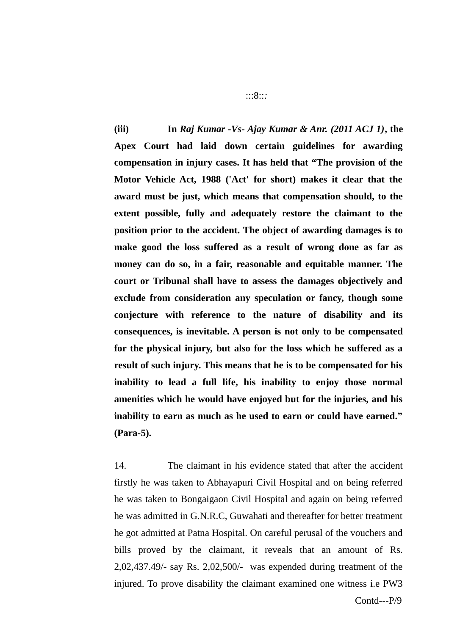**(iii) In** *Raj Kumar -Vs- Ajay Kumar & Anr. (2011 ACJ 1)***, the Apex Court had laid down certain guidelines for awarding compensation in injury cases. It has held that "The provision of the Motor Vehicle Act, 1988 ('Act' for short) makes it clear that the award must be just, which means that compensation should, to the extent possible, fully and adequately restore the claimant to the position prior to the accident. The object of awarding damages is to make good the loss suffered as a result of wrong done as far as money can do so, in a fair, reasonable and equitable manner. The court or Tribunal shall have to assess the damages objectively and exclude from consideration any speculation or fancy, though some conjecture with reference to the nature of disability and its consequences, is inevitable. A person is not only to be compensated for the physical injury, but also for the loss which he suffered as a result of such injury. This means that he is to be compensated for his inability to lead a full life, his inability to enjoy those normal amenities which he would have enjoyed but for the injuries, and his inability to earn as much as he used to earn or could have earned." (Para-5).**

14. The claimant in his evidence stated that after the accident firstly he was taken to Abhayapuri Civil Hospital and on being referred he was taken to Bongaigaon Civil Hospital and again on being referred he was admitted in G.N.R.C, Guwahati and thereafter for better treatment he got admitted at Patna Hospital. On careful perusal of the vouchers and bills proved by the claimant, it reveals that an amount of Rs. 2,02,437.49/- say Rs. 2,02,500/- was expended during treatment of the injured. To prove disability the claimant examined one witness i.e PW3

:::8::*:*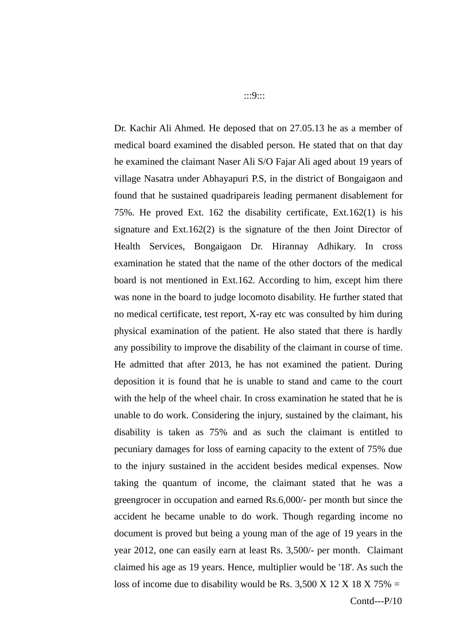Dr. Kachir Ali Ahmed. He deposed that on 27.05.13 he as a member of medical board examined the disabled person. He stated that on that day he examined the claimant Naser Ali S/O Fajar Ali aged about 19 years of village Nasatra under Abhayapuri P.S, in the district of Bongaigaon and found that he sustained quadripareis leading permanent disablement for 75%. He proved Ext. 162 the disability certificate, Ext.162(1) is his signature and Ext.162(2) is the signature of the then Joint Director of Health Services, Bongaigaon Dr. Hirannay Adhikary. In cross examination he stated that the name of the other doctors of the medical board is not mentioned in Ext.162. According to him, except him there was none in the board to judge locomoto disability. He further stated that no medical certificate, test report, X-ray etc was consulted by him during physical examination of the patient. He also stated that there is hardly any possibility to improve the disability of the claimant in course of time. He admitted that after 2013, he has not examined the patient. During deposition it is found that he is unable to stand and came to the court with the help of the wheel chair. In cross examination he stated that he is unable to do work. Considering the injury, sustained by the claimant, his disability is taken as 75% and as such the claimant is entitled to pecuniary damages for loss of earning capacity to the extent of 75% due to the injury sustained in the accident besides medical expenses. Now taking the quantum of income, the claimant stated that he was a greengrocer in occupation and earned Rs.6,000/- per month but since the accident he became unable to do work. Though regarding income no document is proved but being a young man of the age of 19 years in the year 2012, one can easily earn at least Rs. 3,500/- per month. Claimant claimed his age as 19 years. Hence, multiplier would be '18'. As such the loss of income due to disability would be Rs. 3,500 X 12 X 18 X 75% =

:::9:::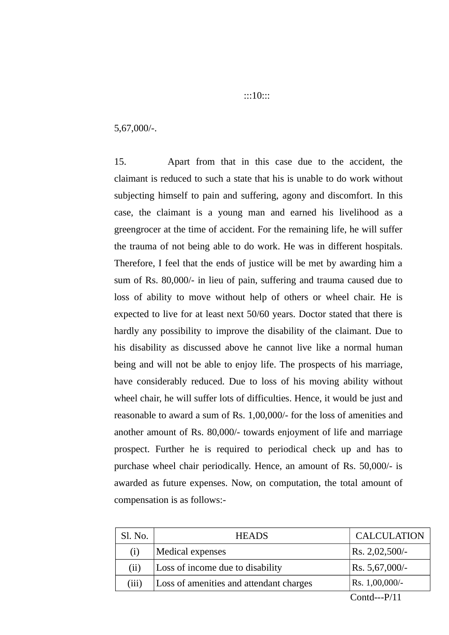### 5,67,000/-.

15. Apart from that in this case due to the accident, the claimant is reduced to such a state that his is unable to do work without subjecting himself to pain and suffering, agony and discomfort. In this case, the claimant is a young man and earned his livelihood as a greengrocer at the time of accident. For the remaining life, he will suffer the trauma of not being able to do work. He was in different hospitals. Therefore, I feel that the ends of justice will be met by awarding him a sum of Rs. 80,000/- in lieu of pain, suffering and trauma caused due to loss of ability to move without help of others or wheel chair. He is expected to live for at least next 50/60 years. Doctor stated that there is hardly any possibility to improve the disability of the claimant. Due to his disability as discussed above he cannot live like a normal human being and will not be able to enjoy life. The prospects of his marriage, have considerably reduced. Due to loss of his moving ability without wheel chair, he will suffer lots of difficulties. Hence, it would be just and reasonable to award a sum of Rs. 1,00,000/- for the loss of amenities and another amount of Rs. 80,000/- towards enjoyment of life and marriage prospect. Further he is required to periodical check up and has to purchase wheel chair periodically. Hence, an amount of Rs. 50,000/- is awarded as future expenses. Now, on computation, the total amount of compensation is as follows:-

| Medical expenses<br>$\vert$ Rs. 2,02,500/-<br>(i)<br>Loss of income due to disability<br>$\vert$ Rs. 5,67,000/-<br>(ii)<br>Rs. 1,00,000/-<br>Loss of amenities and attendant charges<br>(iii) | Sl. No. | <b>HEADS</b> | <b>CALCULATION</b> |
|-----------------------------------------------------------------------------------------------------------------------------------------------------------------------------------------------|---------|--------------|--------------------|
|                                                                                                                                                                                               |         |              |                    |
|                                                                                                                                                                                               |         |              |                    |
|                                                                                                                                                                                               |         |              |                    |

Contd---P/11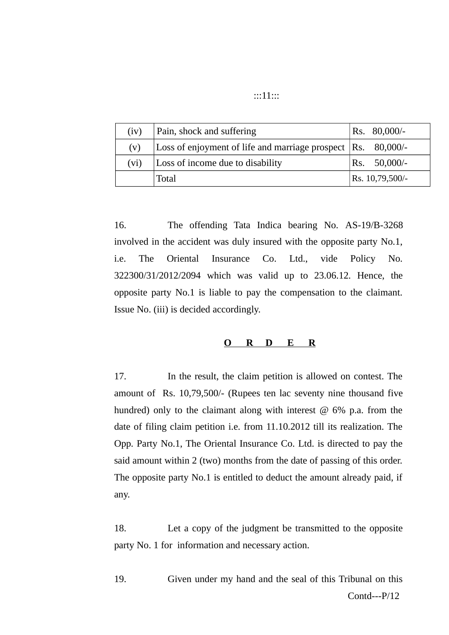| ::11:: |  |
|--------|--|
|        |  |

| (iv) | Pain, shock and suffering                                              | $\text{Rs.} \quad 80,000/$ - |
|------|------------------------------------------------------------------------|------------------------------|
| (v)  | Loss of enjoyment of life and marriage prospect $ Rs. 80,000\rangle$ - |                              |
| (vi) | Loss of income due to disability                                       | $\text{Rs.} \quad 50,000/-$  |
|      | <b>Total</b>                                                           | Rs. 10,79,500/-              |

16. The offending Tata Indica bearing No. AS-19/B-3268 involved in the accident was duly insured with the opposite party No.1, i.e. The Oriental Insurance Co. Ltd., vide Policy No. 322300/31/2012/2094 which was valid up to 23.06.12. Hence, the opposite party No.1 is liable to pay the compensation to the claimant. Issue No. (iii) is decided accordingly.

#### **O R D E R**

17. In the result, the claim petition is allowed on contest. The amount of Rs. 10,79,500/- (Rupees ten lac seventy nine thousand five hundred) only to the claimant along with interest  $@$  6% p.a. from the date of filing claim petition i.e. from 11.10.2012 till its realization. The Opp. Party No.1, The Oriental Insurance Co. Ltd. is directed to pay the said amount within 2 (two) months from the date of passing of this order. The opposite party No.1 is entitled to deduct the amount already paid, if any.

18. Let a copy of the judgment be transmitted to the opposite party No. 1 for information and necessary action.

19. Given under my hand and the seal of this Tribunal on this Contd---P/12